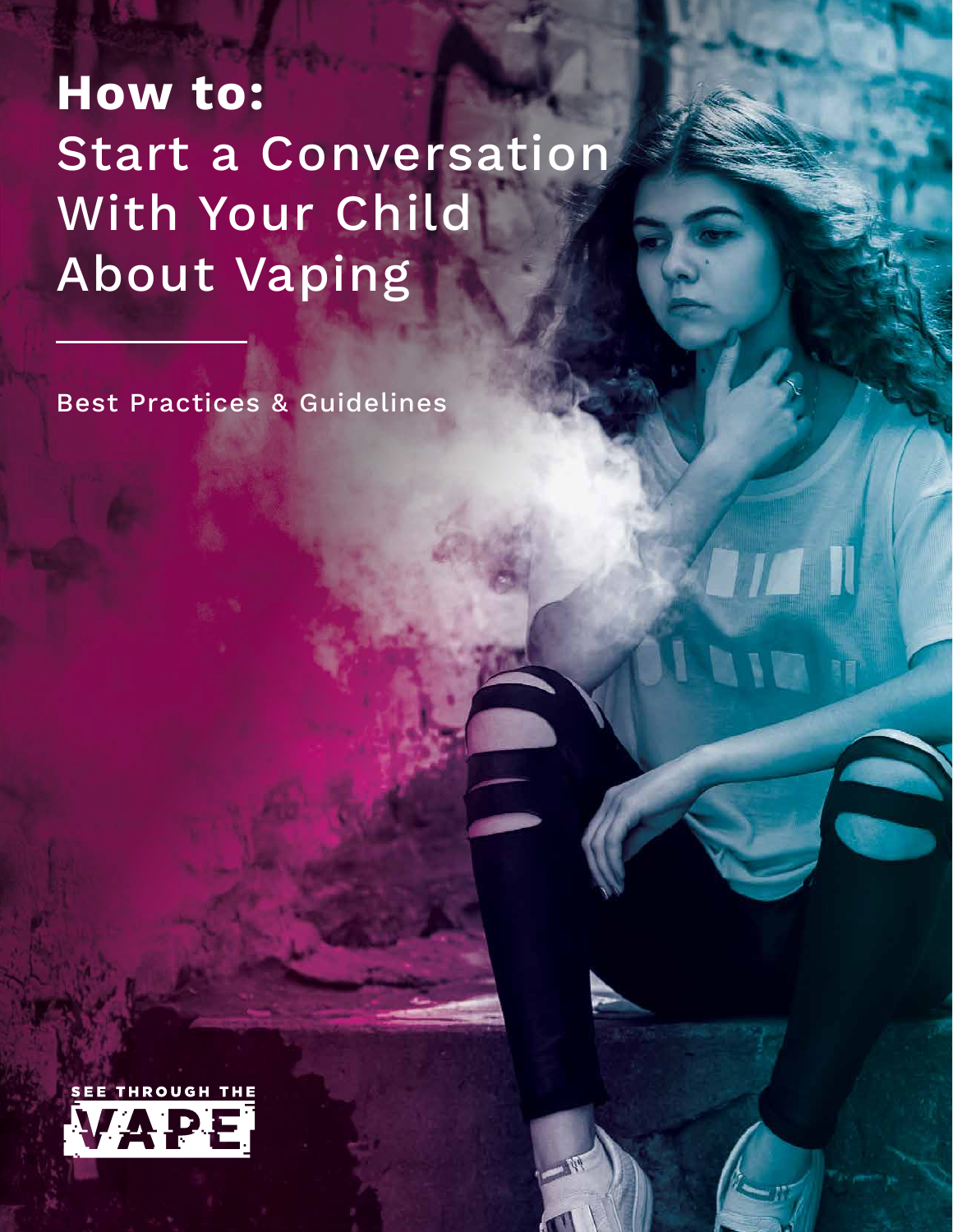### **How to:**  Start a Conversation With Your Child About Vaping

Best Practices & Guidelines

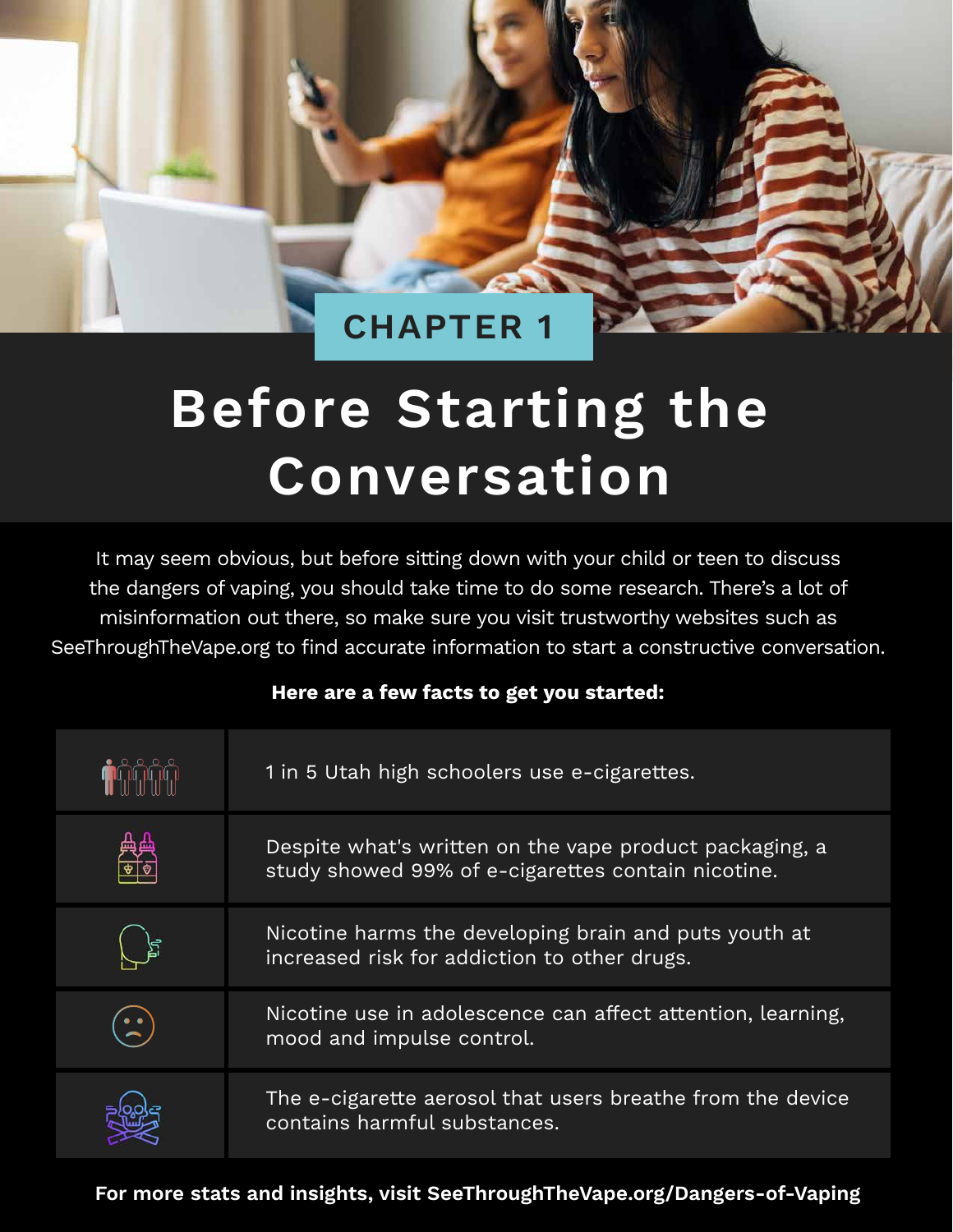### **CHAPTER 1**

# **Before Starting the Conversation**

It may seem obvious, but before sitting down with your child or teen to discuss the dangers of vaping, you should take time to do some research. There's a lot of misinformation out there, so make sure you visit trustworthy websites such as SeeThroughTheVape.org to find accurate information to start a constructive conversation.

#### **Here are a few facts to get you started:**

| 1 in 5 Utah high schoolers use e-cigarettes.                                                                  |
|---------------------------------------------------------------------------------------------------------------|
| Despite what's written on the vape product packaging, a<br>study showed 99% of e-cigarettes contain nicotine. |
| Nicotine harms the developing brain and puts youth at<br>increased risk for addiction to other drugs.         |
| Nicotine use in adolescence can affect attention, learning,<br>mood and impulse control.                      |
| The e-cigarette aerosol that users breathe from the device<br>contains harmful substances.                    |

**For more stats and insights, visit SeeThroughTheVape.org/Dangers-of-Vaping**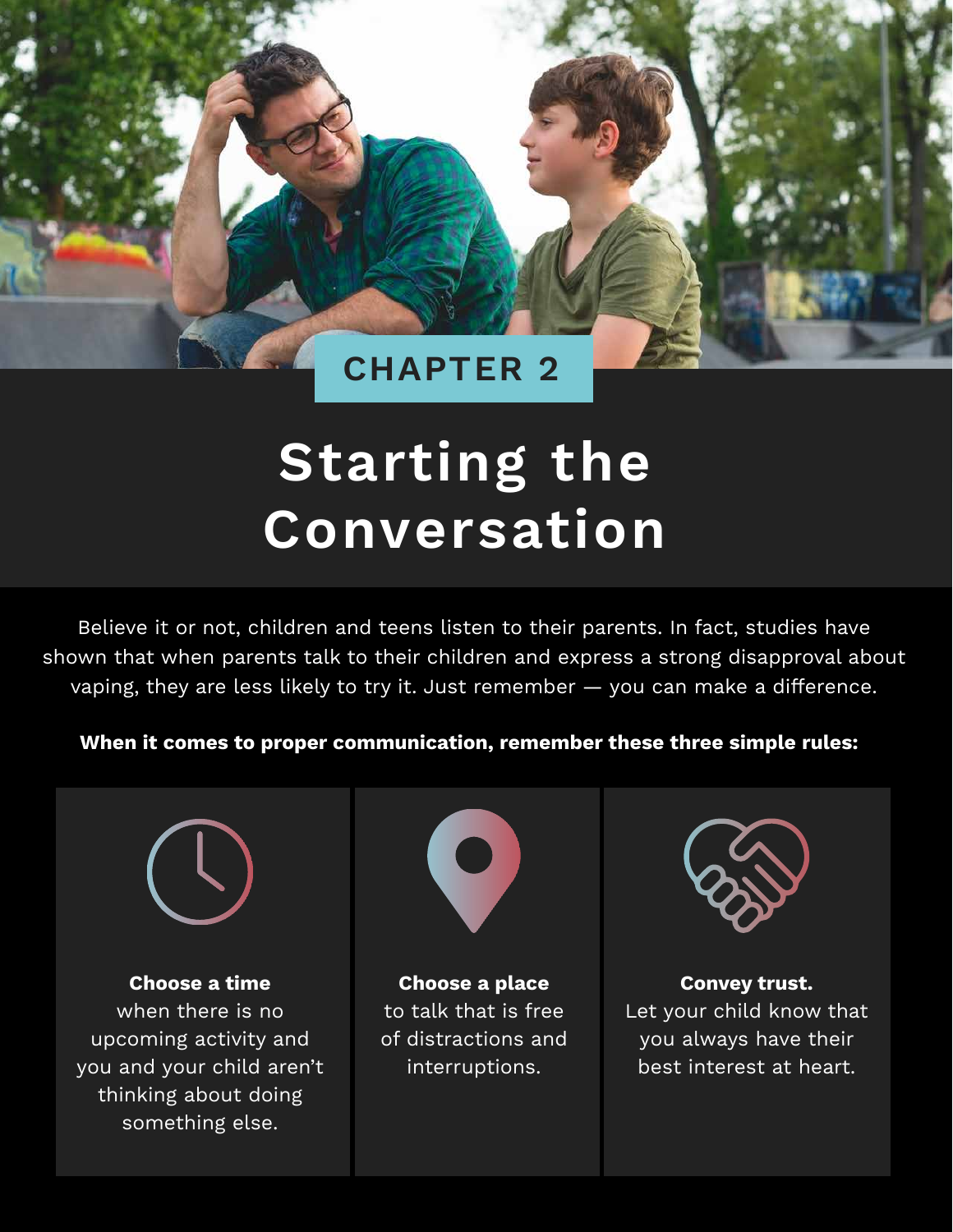### **CHAPTER 2**

# **Starting the Conversation**

Believe it or not, children and teens listen to their parents. In fact, studies have shown that when parents talk to their children and express a strong disapproval about vaping, they are less likely to try it. Just remember — you can make a difference.

#### **When it comes to proper communication, remember these three simple rules:**



**Choose a time** when there is no upcoming activity and you and your child aren't thinking about doing something else.



**Choose a place** to talk that is free of distractions and interruptions.



**Convey trust.** Let your child know that you always have their best interest at heart.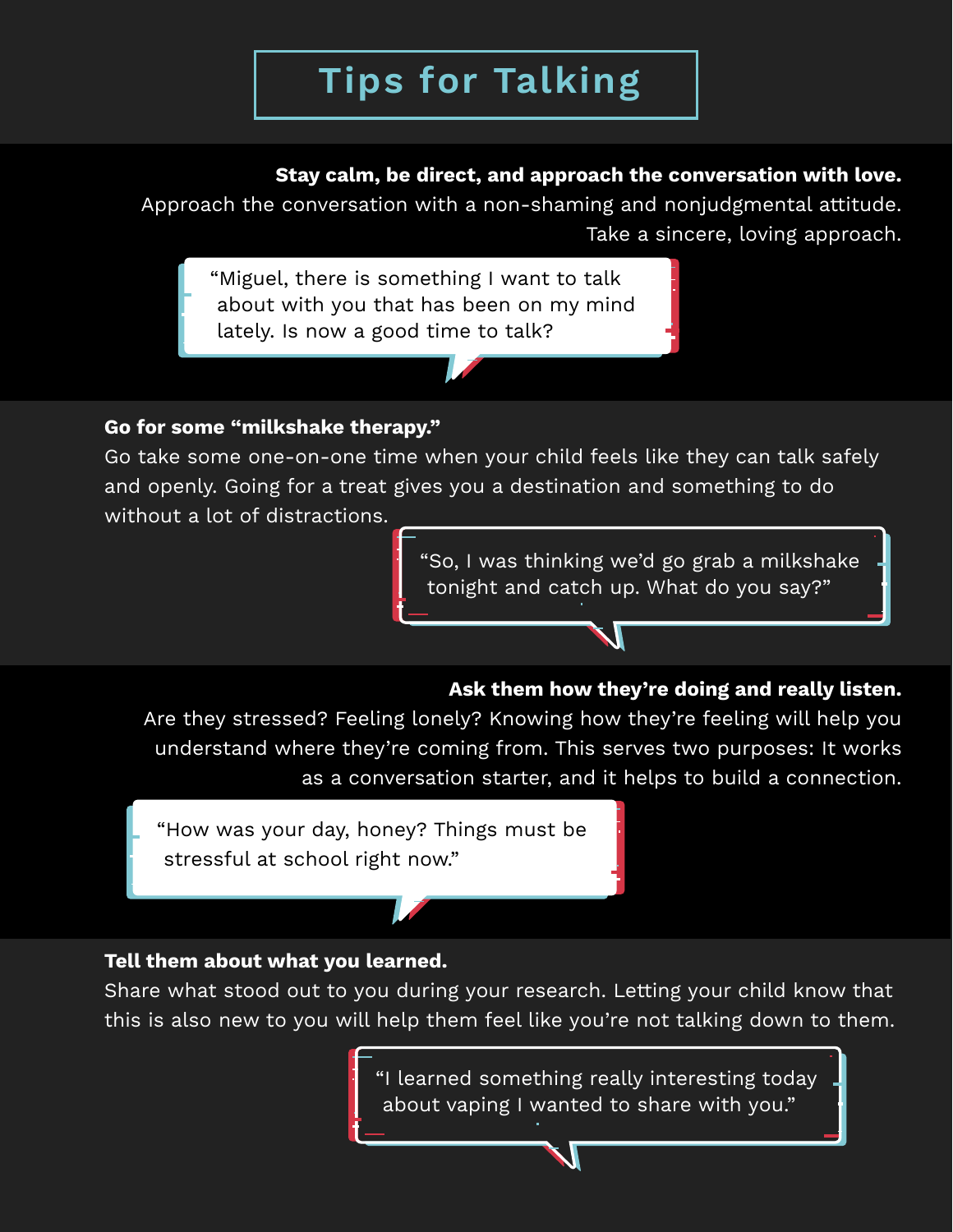### **Tips for Talking**

#### **Stay calm, be direct, and approach the conversation with love.**

Approach the conversation with a non-shaming and nonjudgmental attitude. Take a sincere, loving approach.

"Miguel, there is something I want to talk about with you that has been on my mind lately. Is now a good time to talk?

#### **Go for some "milkshake therapy."**

Go take some one-on-one time when your child feels like they can talk safely and openly. Going for a treat gives you a destination and something to do without a lot of distractions.

> "So, I was thinking we'd go grab a milkshake tonight and catch up. What do you say?"

#### **Ask them how they're doing and really listen.**

Are they stressed? Feeling lonely? Knowing how they're feeling will help you understand where they're coming from. This serves two purposes: It works as a conversation starter, and it helps to build a connection.

"How was your day, honey? Things must be stressful at school right now."

#### **Tell them about what you learned.**

Share what stood out to you during your research. Letting your child know that this is also new to you will help them feel like you're not talking down to them.

> "I learned something really interesting today about vaping I wanted to share with you."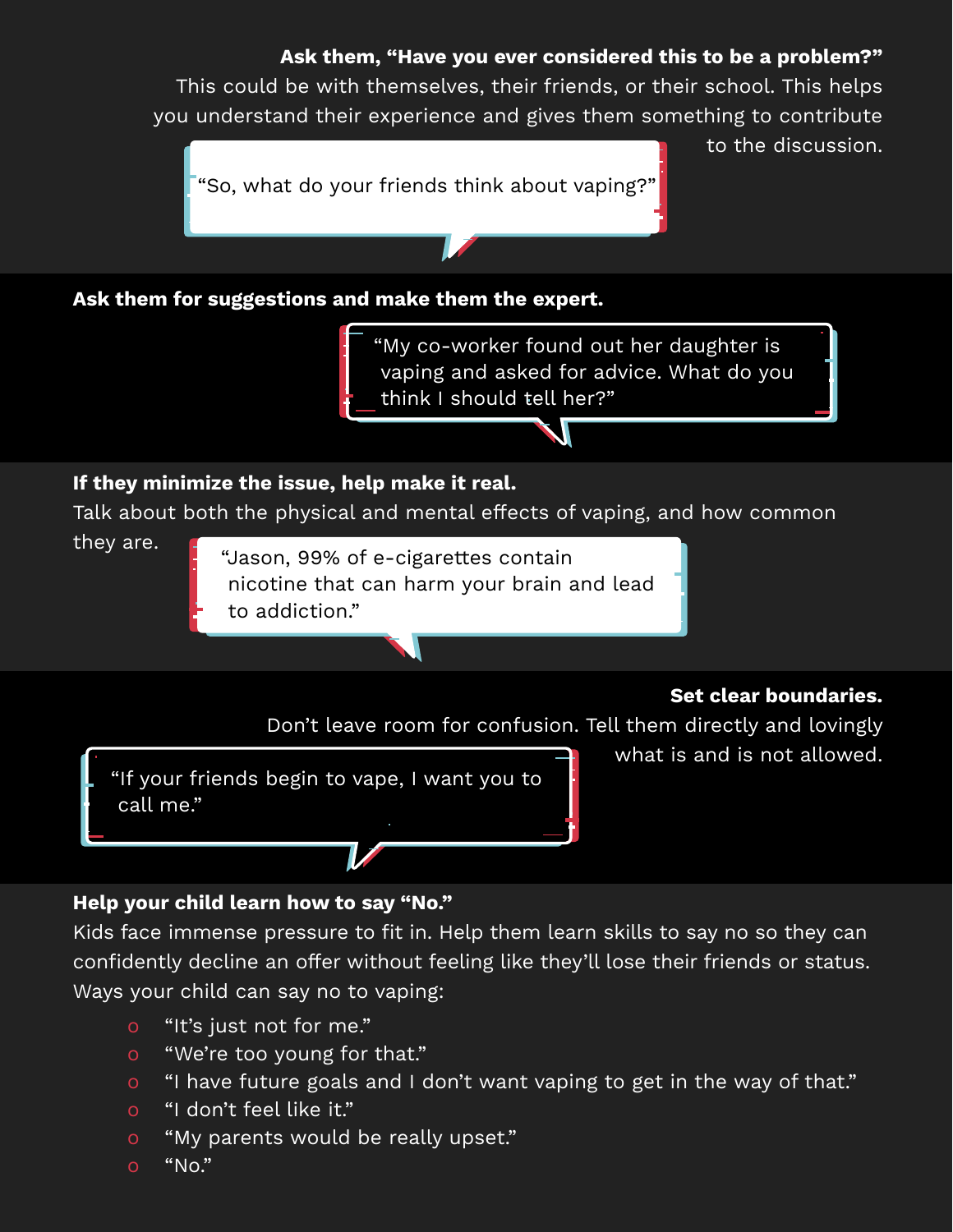#### **Ask them, "Have you ever considered this to be a problem?"**

This could be with themselves, their friends, or their school. This helps you understand their experience and gives them something to contribute

"So, what do your friends think about vaping?"

to the discussion.

**Ask them for suggestions and make them the expert.** 

"My co-worker found out her daughter is vaping and asked for advice. What do you think I should tell her?"

#### **If they minimize the issue, help make it real.**

Talk about both the physical and mental effects of vaping, and how common

they are.

"Jason, 99% of e-cigarettes contain nicotine that can harm your brain and lead to addiction."

#### **Set clear boundaries.**

Don't leave room for confusion. Tell them directly and lovingly

"If your friends begin to vape, I want you to call me."

what is and is not allowed.

#### **Help your child learn how to say "No."**

Kids face immense pressure to fit in. Help them learn skills to say no so they can confidently decline an offer without feeling like they'll lose their friends or status. Ways your child can say no to vaping:

- o "It's just not for me."
- o "We're too young for that."
- o "I have future goals and I don't want vaping to get in the way of that."
- o "I don't feel like it."
- o "My parents would be really upset."
- $O$  "No."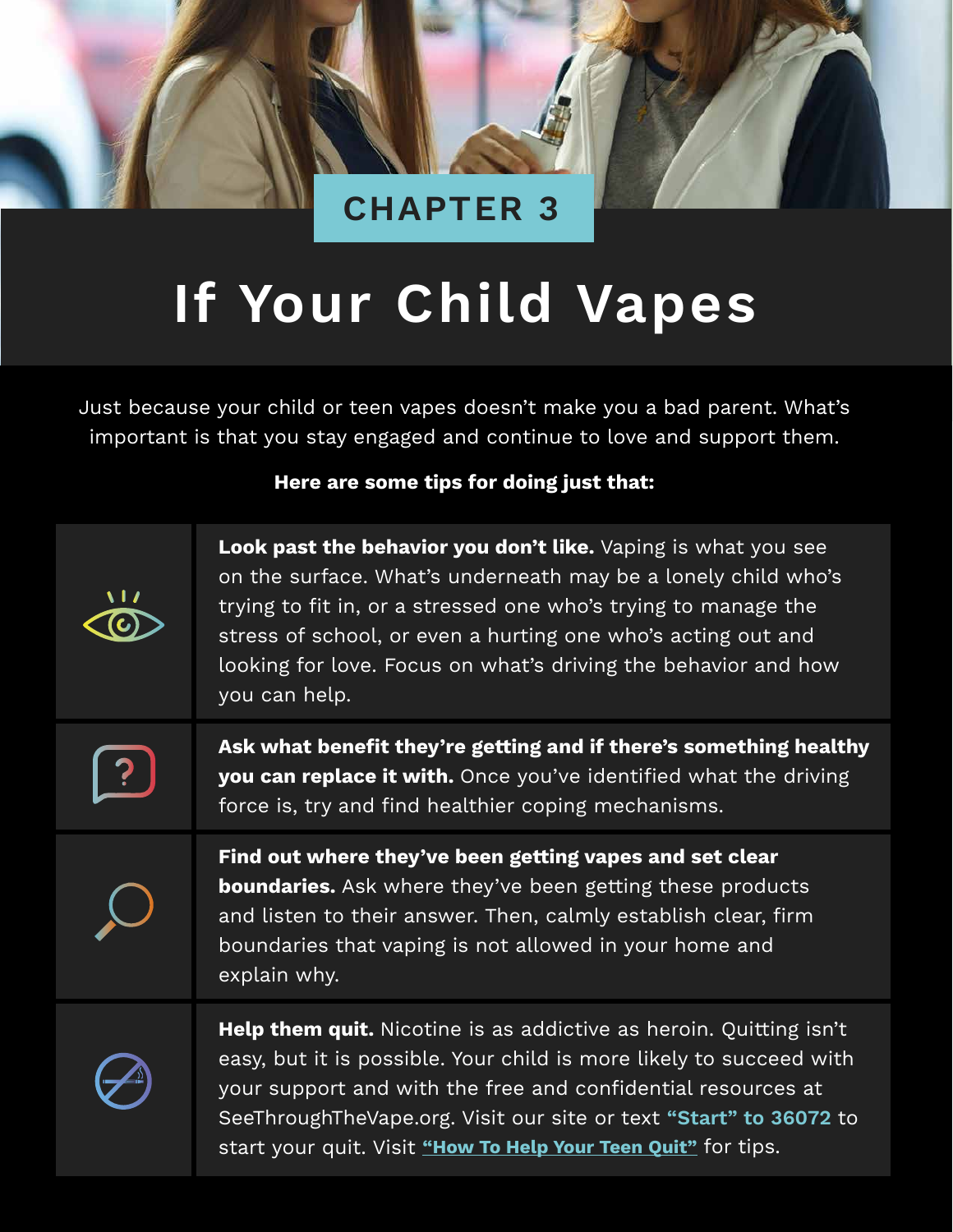

# **If Your Child Vapes**

Just because your child or teen vapes doesn't make you a bad parent. What's important is that you stay engaged and continue to love and support them.

#### **Here are some tips for doing just that:**

| Look past the behavior you don't like. Vaping is what you see<br>on the surface. What's underneath may be a lonely child who's<br>trying to fit in, or a stressed one who's trying to manage the<br>stress of school, or even a hurting one who's acting out and<br>looking for love. Focus on what's driving the behavior and how<br>you can help.    |
|--------------------------------------------------------------------------------------------------------------------------------------------------------------------------------------------------------------------------------------------------------------------------------------------------------------------------------------------------------|
| Ask what benefit they're getting and if there's something healthy<br>you can replace it with. Once you've identified what the driving<br>force is, try and find healthier coping mechanisms.                                                                                                                                                           |
| Find out where they've been getting vapes and set clear<br><b>boundaries.</b> Ask where they've been getting these products<br>and listen to their answer. Then, calmly establish clear, firm<br>boundaries that vaping is not allowed in your home and<br>explain why.                                                                                |
| <b>Help them quit.</b> Nicotine is as addictive as heroin. Quitting isn't<br>easy, but it is possible. Your child is more likely to succeed with<br>your support and with the free and confidential resources at<br>SeeThroughTheVape.org. Visit our site or text "Start" to 36072 to<br>start your quit. Visit "How To Help Your Teen Quit" for tips. |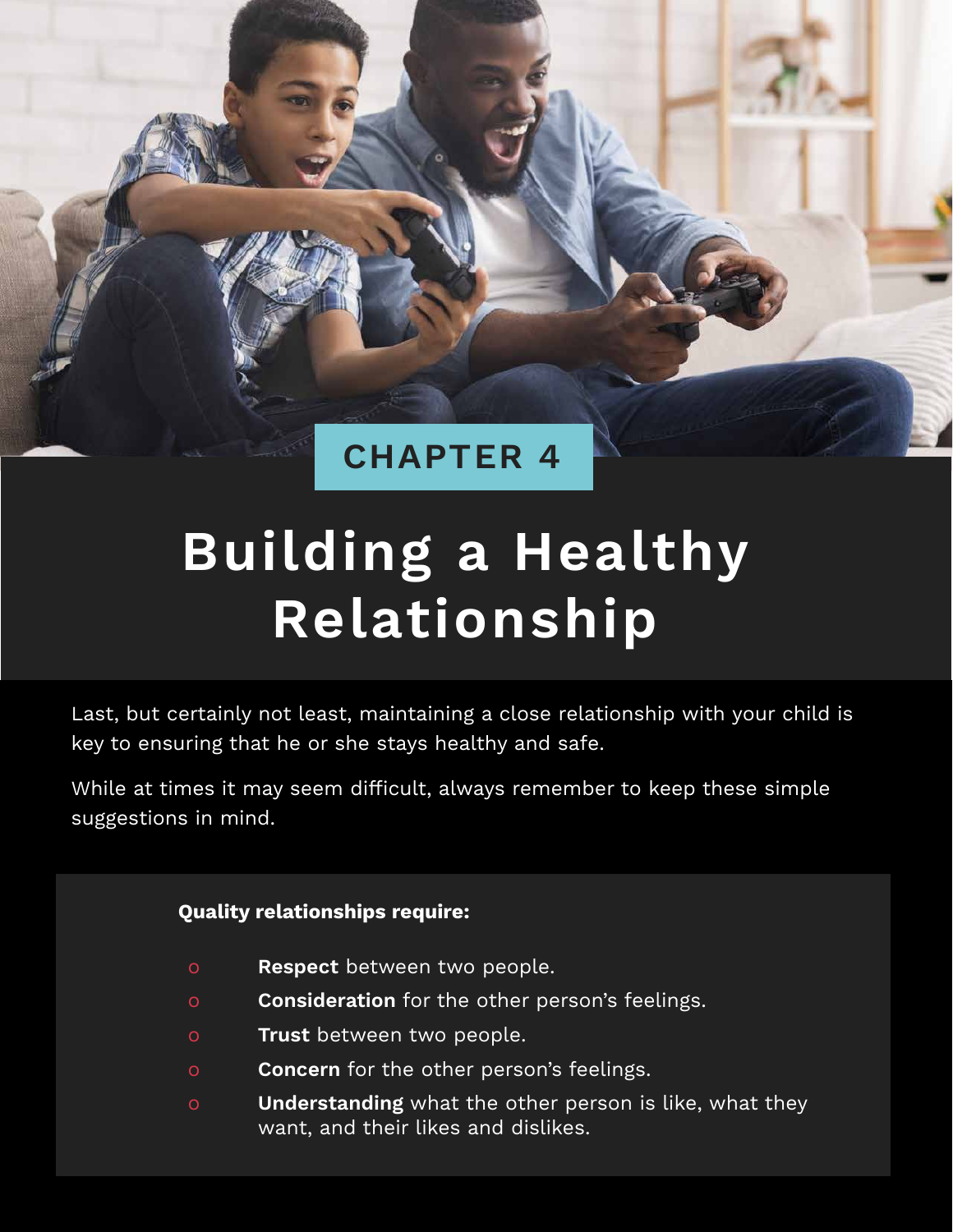

### **CHAPTER 4**

## **Building a Healthy Relationship**

Last, but certainly not least, maintaining a close relationship with your child is key to ensuring that he or she stays healthy and safe.

While at times it may seem difficult, always remember to keep these simple suggestions in mind.

#### **Quality relationships require:**

- o **Respect** between two people.
- o **Consideration** for the other person's feelings.
- o **Trust** between two people.
- o **Concern** for the other person's feelings.
- o **Understanding** what the other person is like, what they want, and their likes and dislikes.